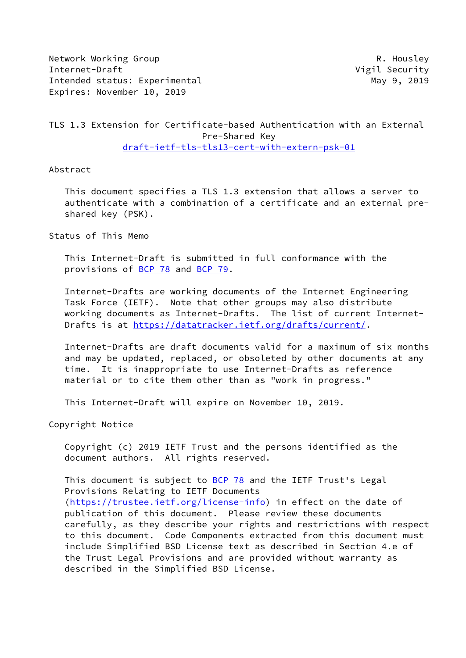Network Working Group **R. Housley** Internet-Draft Vigil Security Intended status: Experimental May 9, 2019 Expires: November 10, 2019

## TLS 1.3 Extension for Certificate-based Authentication with an External Pre-Shared Key [draft-ietf-tls-tls13-cert-with-extern-psk-01](https://datatracker.ietf.org/doc/pdf/draft-ietf-tls-tls13-cert-with-extern-psk-01)

Abstract

 This document specifies a TLS 1.3 extension that allows a server to authenticate with a combination of a certificate and an external pre shared key (PSK).

Status of This Memo

 This Internet-Draft is submitted in full conformance with the provisions of [BCP 78](https://datatracker.ietf.org/doc/pdf/bcp78) and [BCP 79](https://datatracker.ietf.org/doc/pdf/bcp79).

 Internet-Drafts are working documents of the Internet Engineering Task Force (IETF). Note that other groups may also distribute working documents as Internet-Drafts. The list of current Internet Drafts is at<https://datatracker.ietf.org/drafts/current/>.

 Internet-Drafts are draft documents valid for a maximum of six months and may be updated, replaced, or obsoleted by other documents at any time. It is inappropriate to use Internet-Drafts as reference material or to cite them other than as "work in progress."

This Internet-Draft will expire on November 10, 2019.

Copyright Notice

 Copyright (c) 2019 IETF Trust and the persons identified as the document authors. All rights reserved.

This document is subject to **[BCP 78](https://datatracker.ietf.org/doc/pdf/bcp78)** and the IETF Trust's Legal Provisions Relating to IETF Documents [\(https://trustee.ietf.org/license-info](https://trustee.ietf.org/license-info)) in effect on the date of publication of this document. Please review these documents carefully, as they describe your rights and restrictions with respect to this document. Code Components extracted from this document must include Simplified BSD License text as described in Section 4.e of the Trust Legal Provisions and are provided without warranty as described in the Simplified BSD License.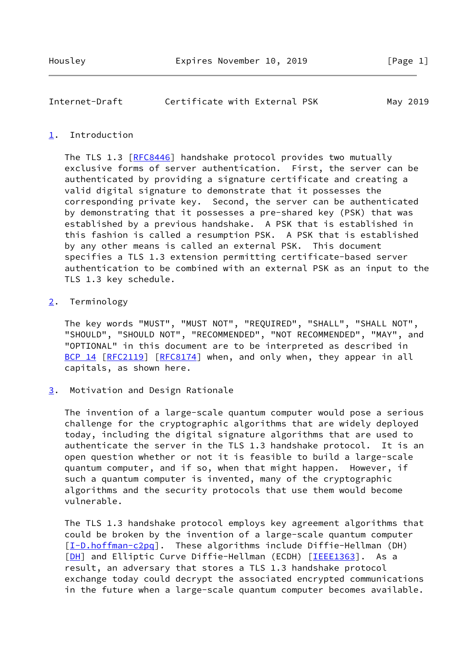| Internet-Draft | Certificate with External PSK |  | May 2019 |
|----------------|-------------------------------|--|----------|
|                |                               |  |          |

## <span id="page-1-0"></span>[1](#page-1-0). Introduction

The TLS 1.3 [\[RFC8446](https://datatracker.ietf.org/doc/pdf/rfc8446)] handshake protocol provides two mutually exclusive forms of server authentication. First, the server can be authenticated by providing a signature certificate and creating a valid digital signature to demonstrate that it possesses the corresponding private key. Second, the server can be authenticated by demonstrating that it possesses a pre-shared key (PSK) that was established by a previous handshake. A PSK that is established in this fashion is called a resumption PSK. A PSK that is established by any other means is called an external PSK. This document specifies a TLS 1.3 extension permitting certificate-based server authentication to be combined with an external PSK as an input to the TLS 1.3 key schedule.

## <span id="page-1-1"></span>[2](#page-1-1). Terminology

 The key words "MUST", "MUST NOT", "REQUIRED", "SHALL", "SHALL NOT", "SHOULD", "SHOULD NOT", "RECOMMENDED", "NOT RECOMMENDED", "MAY", and "OPTIONAL" in this document are to be interpreted as described in [BCP 14](https://datatracker.ietf.org/doc/pdf/bcp14) [\[RFC2119](https://datatracker.ietf.org/doc/pdf/rfc2119)] [\[RFC8174](https://datatracker.ietf.org/doc/pdf/rfc8174)] when, and only when, they appear in all capitals, as shown here.

<span id="page-1-2"></span>[3](#page-1-2). Motivation and Design Rationale

 The invention of a large-scale quantum computer would pose a serious challenge for the cryptographic algorithms that are widely deployed today, including the digital signature algorithms that are used to authenticate the server in the TLS 1.3 handshake protocol. It is an open question whether or not it is feasible to build a large-scale quantum computer, and if so, when that might happen. However, if such a quantum computer is invented, many of the cryptographic algorithms and the security protocols that use them would become vulnerable.

 The TLS 1.3 handshake protocol employs key agreement algorithms that could be broken by the invention of a large-scale quantum computer [\[I-D.hoffman-c2pq](#page-10-0)]. These algorithms include Diffie-Hellman (DH) [\[DH\]](#page-9-0) and Elliptic Curve Diffie-Hellman (ECDH) [[IEEE1363\]](#page-10-1). As a result, an adversary that stores a TLS 1.3 handshake protocol exchange today could decrypt the associated encrypted communications in the future when a large-scale quantum computer becomes available.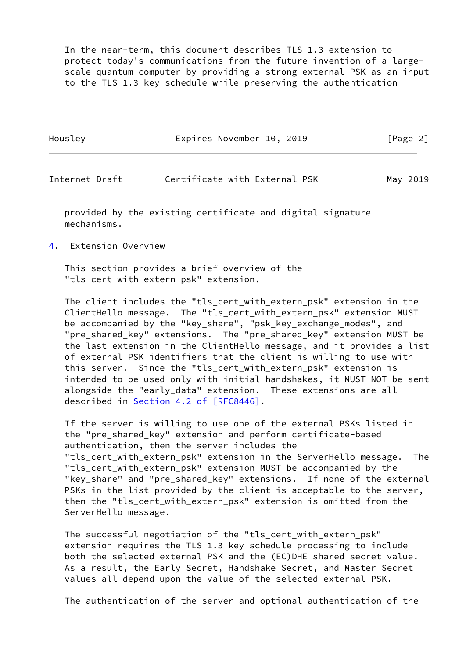In the near-term, this document describes TLS 1.3 extension to protect today's communications from the future invention of a large scale quantum computer by providing a strong external PSK as an input to the TLS 1.3 key schedule while preserving the authentication

| Housley | Expires November 10, 2019 |  | [Page 2] |  |
|---------|---------------------------|--|----------|--|
|         |                           |  |          |  |

Internet-Draft **Certificate with External PSK** May 2019

 provided by the existing certificate and digital signature mechanisms.

<span id="page-2-0"></span>[4](#page-2-0). Extension Overview

 This section provides a brief overview of the "tls\_cert\_with\_extern\_psk" extension.

 The client includes the "tls\_cert\_with\_extern\_psk" extension in the ClientHello message. The "tls\_cert\_with\_extern\_psk" extension MUST be accompanied by the "key\_share", "psk\_key\_exchange\_modes", and "pre shared key" extensions. The "pre shared key" extension MUST be the last extension in the ClientHello message, and it provides a list of external PSK identifiers that the client is willing to use with this server. Since the "tls\_cert\_with\_extern\_psk" extension is intended to be used only with initial handshakes, it MUST NOT be sent alongside the "early\_data" extension. These extensions are all described in Section [4.2 of \[RFC8446\]](https://datatracker.ietf.org/doc/pdf/rfc8446#section-4.2).

 If the server is willing to use one of the external PSKs listed in the "pre\_shared\_key" extension and perform certificate-based authentication, then the server includes the "tls\_cert\_with\_extern\_psk" extension in the ServerHello message. The "tls\_cert\_with\_extern\_psk" extension MUST be accompanied by the "key\_share" and "pre\_shared\_key" extensions. If none of the external PSKs in the list provided by the client is acceptable to the server, then the "tls\_cert\_with\_extern\_psk" extension is omitted from the ServerHello message.

 The successful negotiation of the "tls\_cert\_with\_extern\_psk" extension requires the TLS 1.3 key schedule processing to include both the selected external PSK and the (EC)DHE shared secret value. As a result, the Early Secret, Handshake Secret, and Master Secret values all depend upon the value of the selected external PSK.

The authentication of the server and optional authentication of the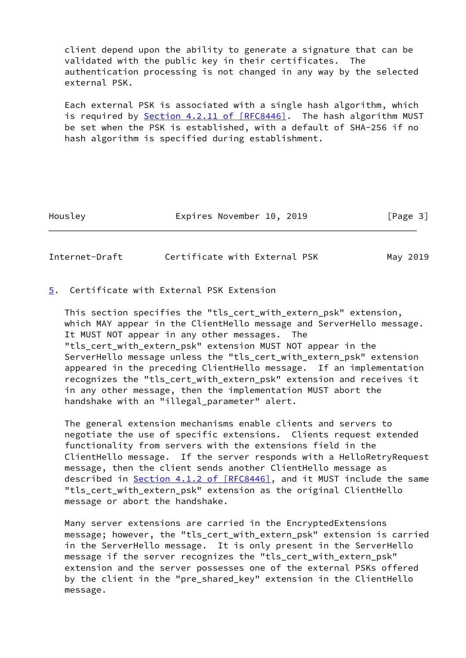client depend upon the ability to generate a signature that can be validated with the public key in their certificates. The authentication processing is not changed in any way by the selected external PSK.

 Each external PSK is associated with a single hash algorithm, which is required by Section [4.2.11 of \[RFC8446\]](https://datatracker.ietf.org/doc/pdf/rfc8446#section-4.2.11). The hash algorithm MUST be set when the PSK is established, with a default of SHA-256 if no hash algorithm is specified during establishment.

Housley **Expires November 10, 2019** [Page 3]

Internet-Draft Certificate with External PSK May 2019

<span id="page-3-0"></span>[5](#page-3-0). Certificate with External PSK Extension

 This section specifies the "tls\_cert\_with\_extern\_psk" extension, which MAY appear in the ClientHello message and ServerHello message. It MUST NOT appear in any other messages. The "tls\_cert\_with\_extern\_psk" extension MUST NOT appear in the ServerHello message unless the "tls\_cert\_with\_extern\_psk" extension appeared in the preceding ClientHello message. If an implementation recognizes the "tls\_cert\_with\_extern\_psk" extension and receives it in any other message, then the implementation MUST abort the handshake with an "illegal\_parameter" alert.

 The general extension mechanisms enable clients and servers to negotiate the use of specific extensions. Clients request extended functionality from servers with the extensions field in the ClientHello message. If the server responds with a HelloRetryRequest message, then the client sends another ClientHello message as described in Section [4.1.2 of \[RFC8446\],](https://datatracker.ietf.org/doc/pdf/rfc8446#section-4.1.2) and it MUST include the same "tls\_cert\_with\_extern\_psk" extension as the original ClientHello message or abort the handshake.

 Many server extensions are carried in the EncryptedExtensions message; however, the "tls\_cert\_with\_extern\_psk" extension is carried in the ServerHello message. It is only present in the ServerHello message if the server recognizes the "tls\_cert\_with\_extern\_psk" extension and the server possesses one of the external PSKs offered by the client in the "pre\_shared\_key" extension in the ClientHello message.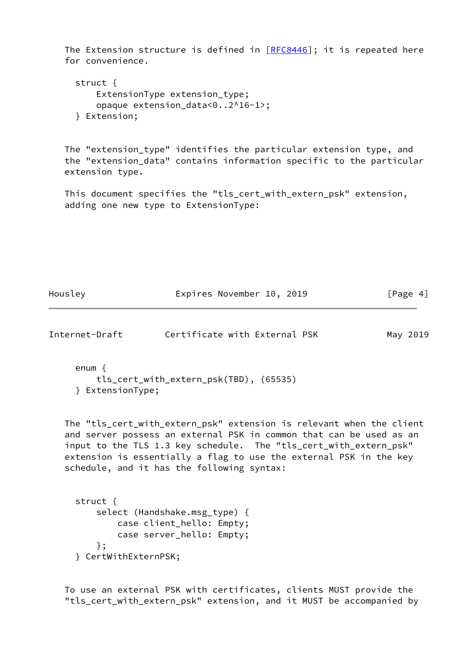The Extension structure is defined in  $[RECS446]$ ; it is repeated here for convenience.

```
 struct {
    ExtensionType extension_type;
    opaque extension_data<0..2^16-1>;
} Extension;
```
 The "extension\_type" identifies the particular extension type, and the "extension\_data" contains information specific to the particular extension type.

 This document specifies the "tls\_cert\_with\_extern\_psk" extension, adding one new type to ExtensionType:

Housley **Expires November 10, 2019** [Page 4]

Internet-Draft Certificate with External PSK May 2019

```
 enum {
    tls_cert_with_extern_psk(TBD), (65535)
} ExtensionType;
```
 The "tls\_cert\_with\_extern\_psk" extension is relevant when the client and server possess an external PSK in common that can be used as an input to the TLS 1.3 key schedule. The "tls\_cert\_with\_extern\_psk" extension is essentially a flag to use the external PSK in the key schedule, and it has the following syntax:

```
 struct {
    select (Handshake.msg_type) {
        case client_hello: Empty;
        case server_hello: Empty;
    };
} CertWithExternPSK;
```
 To use an external PSK with certificates, clients MUST provide the "tls\_cert\_with\_extern\_psk" extension, and it MUST be accompanied by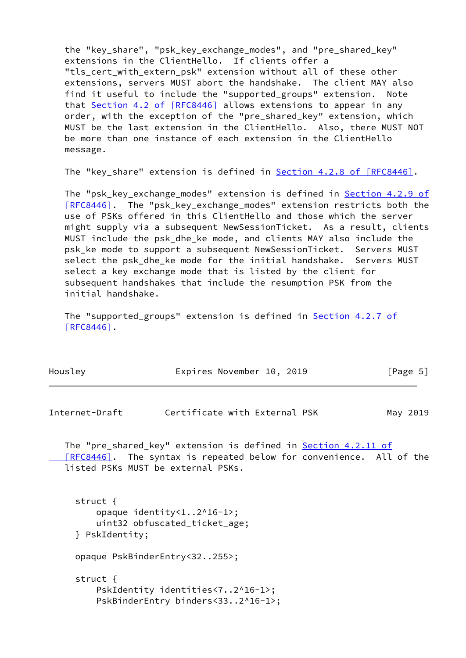the "key\_share", "psk\_key\_exchange\_modes", and "pre\_shared\_key" extensions in the ClientHello. If clients offer a "tls cert with extern psk" extension without all of these other extensions, servers MUST abort the handshake. The client MAY also find it useful to include the "supported groups" extension. Note that Section [4.2 of \[RFC8446\]](https://datatracker.ietf.org/doc/pdf/rfc8446#section-4.2) allows extensions to appear in any order, with the exception of the "pre shared key" extension, which MUST be the last extension in the ClientHello. Also, there MUST NOT be more than one instance of each extension in the ClientHello message.

The "key\_share" extension is defined in **Section [4.2.8 of \[RFC8446\]](https://datatracker.ietf.org/doc/pdf/rfc8446#section-4.2.8)**.

 The "psk\_key\_exchange\_modes" extension is defined in Section [4.2.9 of](https://datatracker.ietf.org/doc/pdf/rfc8446#section-4.2.9) [RFC8446]. The "psk\_key\_exchange\_modes" extension restricts both the use of PSKs offered in this ClientHello and those which the server might supply via a subsequent NewSessionTicket. As a result, clients MUST include the psk\_dhe\_ke mode, and clients MAY also include the psk ke mode to support a subsequent NewSessionTicket. Servers MUST select the psk dhe ke mode for the initial handshake. Servers MUST select a key exchange mode that is listed by the client for subsequent handshakes that include the resumption PSK from the initial handshake.

The "supported\_groups" extension is defined in **Section [4.2.7 of](https://datatracker.ietf.org/doc/pdf/rfc8446#section-4.2.7)**  [\[RFC8446\]](https://datatracker.ietf.org/doc/pdf/rfc8446#section-4.2.7).

| Housley | Expires November 10, 2019 |  | [Page 5] |
|---------|---------------------------|--|----------|
|---------|---------------------------|--|----------|

Internet-Draft Certificate with External PSK May 2019

The "pre\_shared\_key" extension is defined in Section [4.2.11 of](https://datatracker.ietf.org/doc/pdf/rfc8446#section-4.2.11) [RFC8446]. The syntax is repeated below for convenience. All of the listed PSKs MUST be external PSKs.

 struct { opaque identity<1..2^16-1>; uint32 obfuscated\_ticket\_age; } PskIdentity; opaque PskBinderEntry<32..255>; struct { PskIdentity identities<7..2^16-1>; PskBinderEntry binders<33..2^16-1>;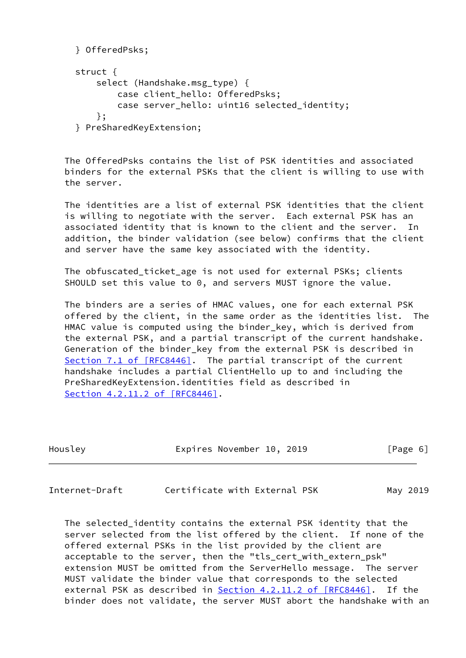```
 } OfferedPsks;
struct {
    select (Handshake.msg_type) {
       case client hello: OfferedPsks;
       case server hello: uint16 selected identity;
    };
} PreSharedKeyExtension;
```
 The OfferedPsks contains the list of PSK identities and associated binders for the external PSKs that the client is willing to use with the server.

 The identities are a list of external PSK identities that the client is willing to negotiate with the server. Each external PSK has an associated identity that is known to the client and the server. In addition, the binder validation (see below) confirms that the client and server have the same key associated with the identity.

 The obfuscated\_ticket\_age is not used for external PSKs; clients SHOULD set this value to 0, and servers MUST ignore the value.

 The binders are a series of HMAC values, one for each external PSK offered by the client, in the same order as the identities list. The HMAC value is computed using the binder\_key, which is derived from the external PSK, and a partial transcript of the current handshake. Generation of the binder\_key from the external PSK is described in Section [7.1 of \[RFC8446\]](https://datatracker.ietf.org/doc/pdf/rfc8446#section-7.1). The partial transcript of the current handshake includes a partial ClientHello up to and including the PreSharedKeyExtension.identities field as described in Section [4.2.11.2 of \[RFC8446\]](https://datatracker.ietf.org/doc/pdf/rfc8446#section-4.2.11.2).

| Housley | Expires November 10, 2019 |  | [Page 6] |  |
|---------|---------------------------|--|----------|--|
|         |                           |  |          |  |

Internet-Draft Certificate with External PSK May 2019

 The selected\_identity contains the external PSK identity that the server selected from the list offered by the client. If none of the offered external PSKs in the list provided by the client are acceptable to the server, then the "tls\_cert\_with\_extern\_psk" extension MUST be omitted from the ServerHello message. The server MUST validate the binder value that corresponds to the selected external PSK as described in Section [4.2.11.2 of \[RFC8446\]](https://datatracker.ietf.org/doc/pdf/rfc8446#section-4.2.11.2). If the binder does not validate, the server MUST abort the handshake with an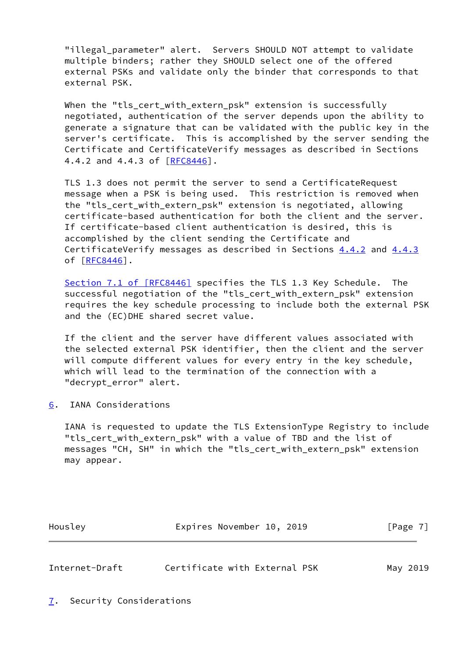"illegal parameter" alert. Servers SHOULD NOT attempt to validate multiple binders; rather they SHOULD select one of the offered external PSKs and validate only the binder that corresponds to that external PSK.

When the "tls cert\_with\_extern\_psk" extension is successfully negotiated, authentication of the server depends upon the ability to generate a signature that can be validated with the public key in the server's certificate. This is accomplished by the server sending the Certificate and CertificateVerify messages as described in Sections 4.4.2 and 4.4.3 of [[RFC8446\]](https://datatracker.ietf.org/doc/pdf/rfc8446).

 TLS 1.3 does not permit the server to send a CertificateRequest message when a PSK is being used. This restriction is removed when the "tls\_cert\_with\_extern\_psk" extension is negotiated, allowing certificate-based authentication for both the client and the server. If certificate-based client authentication is desired, this is accomplished by the client sending the Certificate and CertificateVerify messages as described in Sections 4.4.2 and 4.4.3 of [[RFC8446\]](https://datatracker.ietf.org/doc/pdf/rfc8446).

Section [7.1 of \[RFC8446\]](https://datatracker.ietf.org/doc/pdf/rfc8446#section-7.1) specifies the TLS 1.3 Key Schedule. The successful negotiation of the "tls\_cert\_with\_extern\_psk" extension requires the key schedule processing to include both the external PSK and the (EC)DHE shared secret value.

 If the client and the server have different values associated with the selected external PSK identifier, then the client and the server will compute different values for every entry in the key schedule, which will lead to the termination of the connection with a "decrypt\_error" alert.

<span id="page-7-0"></span>[6](#page-7-0). IANA Considerations

 IANA is requested to update the TLS ExtensionType Registry to include "tls\_cert\_with\_extern\_psk" with a value of TBD and the list of messages "CH, SH" in which the "tls\_cert\_with\_extern\_psk" extension may appear.

| Housley | Expires November 10, 2019 |  | [Page 7] |
|---------|---------------------------|--|----------|
|         |                           |  |          |

| Internet-Draft | Certificate with External PSK |  |  | May 2019 |
|----------------|-------------------------------|--|--|----------|
|                |                               |  |  |          |

<span id="page-7-1"></span>[7](#page-7-1). Security Considerations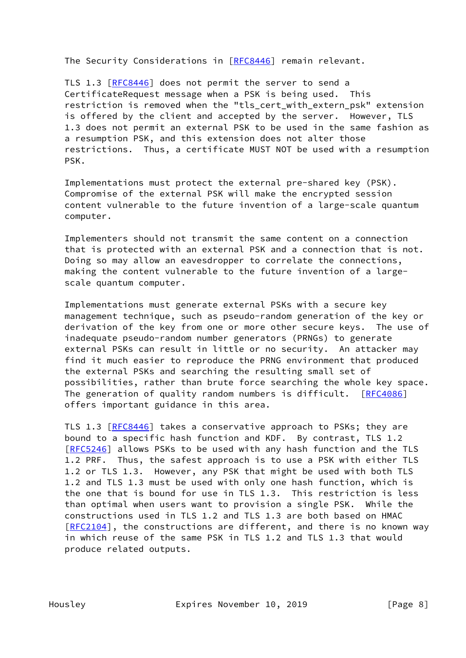The Security Considerations in [\[RFC8446](https://datatracker.ietf.org/doc/pdf/rfc8446)] remain relevant.

TLS 1.3 [\[RFC8446](https://datatracker.ietf.org/doc/pdf/rfc8446)] does not permit the server to send a CertificateRequest message when a PSK is being used. This restriction is removed when the "tls\_cert\_with\_extern\_psk" extension is offered by the client and accepted by the server. However, TLS 1.3 does not permit an external PSK to be used in the same fashion as a resumption PSK, and this extension does not alter those restrictions. Thus, a certificate MUST NOT be used with a resumption PSK.

 Implementations must protect the external pre-shared key (PSK). Compromise of the external PSK will make the encrypted session content vulnerable to the future invention of a large-scale quantum computer.

 Implementers should not transmit the same content on a connection that is protected with an external PSK and a connection that is not. Doing so may allow an eavesdropper to correlate the connections, making the content vulnerable to the future invention of a large scale quantum computer.

 Implementations must generate external PSKs with a secure key management technique, such as pseudo-random generation of the key or derivation of the key from one or more other secure keys. The use of inadequate pseudo-random number generators (PRNGs) to generate external PSKs can result in little or no security. An attacker may find it much easier to reproduce the PRNG environment that produced the external PSKs and searching the resulting small set of possibilities, rather than brute force searching the whole key space. The generation of quality random numbers is difficult. [\[RFC4086](https://datatracker.ietf.org/doc/pdf/rfc4086)] offers important guidance in this area.

 TLS 1.3 [\[RFC8446](https://datatracker.ietf.org/doc/pdf/rfc8446)] takes a conservative approach to PSKs; they are bound to a specific hash function and KDF. By contrast, TLS 1.2 [\[RFC5246](https://datatracker.ietf.org/doc/pdf/rfc5246)] allows PSKs to be used with any hash function and the TLS 1.2 PRF. Thus, the safest approach is to use a PSK with either TLS 1.2 or TLS 1.3. However, any PSK that might be used with both TLS 1.2 and TLS 1.3 must be used with only one hash function, which is the one that is bound for use in TLS 1.3. This restriction is less than optimal when users want to provision a single PSK. While the constructions used in TLS 1.2 and TLS 1.3 are both based on HMAC [\[RFC2104](https://datatracker.ietf.org/doc/pdf/rfc2104)], the constructions are different, and there is no known way in which reuse of the same PSK in TLS 1.2 and TLS 1.3 that would produce related outputs.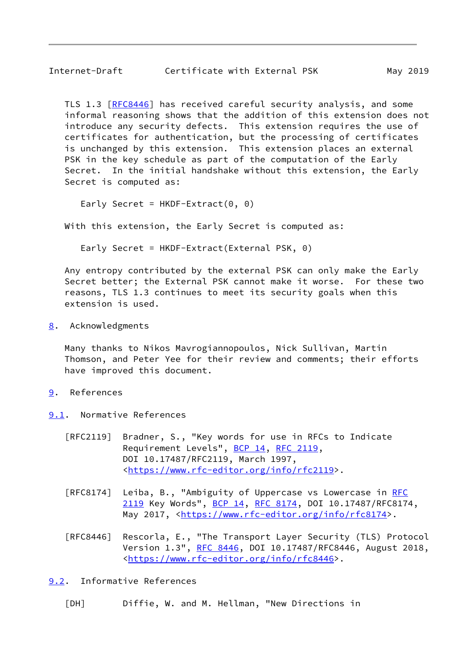TLS 1.3 [\[RFC8446](https://datatracker.ietf.org/doc/pdf/rfc8446)] has received careful security analysis, and some informal reasoning shows that the addition of this extension does not introduce any security defects. This extension requires the use of certificates for authentication, but the processing of certificates is unchanged by this extension. This extension places an external PSK in the key schedule as part of the computation of the Early Secret. In the initial handshake without this extension, the Early Secret is computed as:

Early Secret =  $HKDF-Extract(0, 0)$ 

With this extension, the Early Secret is computed as:

Early Secret = HKDF-Extract(External PSK, 0)

 Any entropy contributed by the external PSK can only make the Early Secret better; the External PSK cannot make it worse. For these two reasons, TLS 1.3 continues to meet its security goals when this extension is used.

<span id="page-9-1"></span>[8](#page-9-1). Acknowledgments

 Many thanks to Nikos Mavrogiannopoulos, Nick Sullivan, Martin Thomson, and Peter Yee for their review and comments; their efforts have improved this document.

- <span id="page-9-2"></span>[9](#page-9-2). References
- <span id="page-9-3"></span>[9.1](#page-9-3). Normative References
	- [RFC2119] Bradner, S., "Key words for use in RFCs to Indicate Requirement Levels", [BCP 14](https://datatracker.ietf.org/doc/pdf/bcp14), [RFC 2119](https://datatracker.ietf.org/doc/pdf/rfc2119), DOI 10.17487/RFC2119, March 1997, <[https://www.rfc-editor.org/info/rfc2119>](https://www.rfc-editor.org/info/rfc2119).
	- [RFC8174] Leiba, B., "Ambiguity of Uppercase vs Lowercase in [RFC](https://datatracker.ietf.org/doc/pdf/rfc2119) [2119](https://datatracker.ietf.org/doc/pdf/rfc2119) Key Words", [BCP 14](https://datatracker.ietf.org/doc/pdf/bcp14), [RFC 8174,](https://datatracker.ietf.org/doc/pdf/rfc8174) DOI 10.17487/RFC8174, May 2017, [<https://www.rfc-editor.org/info/rfc8174](https://www.rfc-editor.org/info/rfc8174)>.
	- [RFC8446] Rescorla, E., "The Transport Layer Security (TLS) Protocol Version 1.3", [RFC 8446](https://datatracker.ietf.org/doc/pdf/rfc8446), DOI 10.17487/RFC8446, August 2018, <[https://www.rfc-editor.org/info/rfc8446>](https://www.rfc-editor.org/info/rfc8446).

<span id="page-9-4"></span>[9.2](#page-9-4). Informative References

<span id="page-9-0"></span>[DH] Diffie, W. and M. Hellman, "New Directions in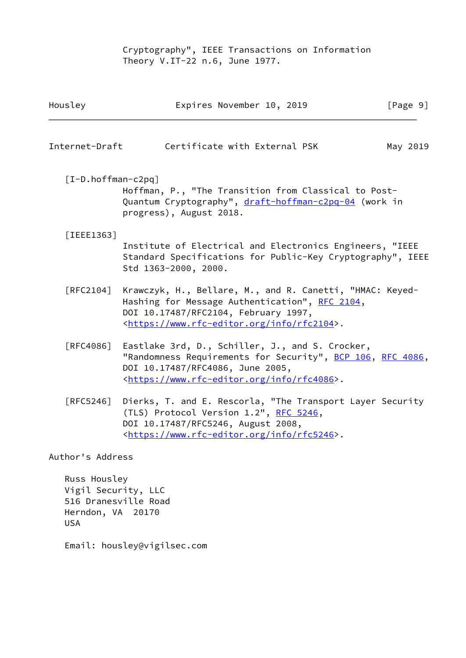Cryptography", IEEE Transactions on Information Theory V.IT-22 n.6, June 1977.

<span id="page-10-1"></span><span id="page-10-0"></span>

| Housley              | Expires November 10, 2019                                                                                                                                                                                         | [Page 9] |
|----------------------|-------------------------------------------------------------------------------------------------------------------------------------------------------------------------------------------------------------------|----------|
| Internet-Draft       | Certificate with External PSK                                                                                                                                                                                     | May 2019 |
| $[I-D.hoffman-c2pq]$ | Hoffman, P., "The Transition from Classical to Post-<br>Quantum Cryptography", draft-hoffman-c2pq-04 (work in<br>progress), August 2018.                                                                          |          |
| $[IEEE 1363]$        | Institute of Electrical and Electronics Engineers, "IEEE<br>Standard Specifications for Public-Key Cryptography", IEEE<br>Std 1363-2000, 2000.                                                                    |          |
| $\lceil$ RFC2104]    | Krawczyk, H., Bellare, M., and R. Canetti, "HMAC: Keyed-<br>Hashing for Message Authentication", RFC 2104,<br>DOI 10.17487/RFC2104, February 1997,<br><https: info="" rfc2104="" www.rfc-editor.org="">.</https:> |          |
| FRFC4086]            | Eastlake 3rd, D., Schiller, J., and S. Crocker,<br>"Randomness Requirements for Security", BCP 106, RFC 4086,<br>DOI 10.17487/RFC4086, June 2005,<br><https: info="" rfc4086="" www.rfc-editor.org="">.</https:>  |          |
| [REC5246]            | Dierks, T. and E. Rescorla, "The Transport Layer Security<br>(TLS) Protocol Version 1.2", RFC 5246,<br>DOI 10.17487/RFC5246, August 2008,<br><https: info="" rfc5246="" www.rfc-editor.org="">.</https:>          |          |
| Author's Address     |                                                                                                                                                                                                                   |          |

 Russ Housley Vigil Security, LLC 516 Dranesville Road Herndon, VA 20170 USA

Email: housley@vigilsec.com